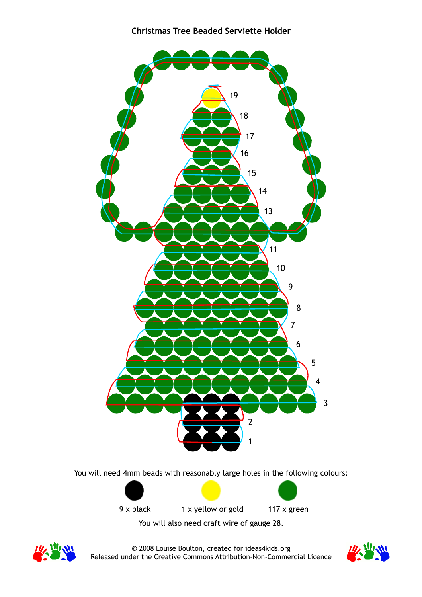



© 2008 Louise Boulton, created for ideas4kids.org Released under the Creative Commons Attribution-Non-Commercial Licence

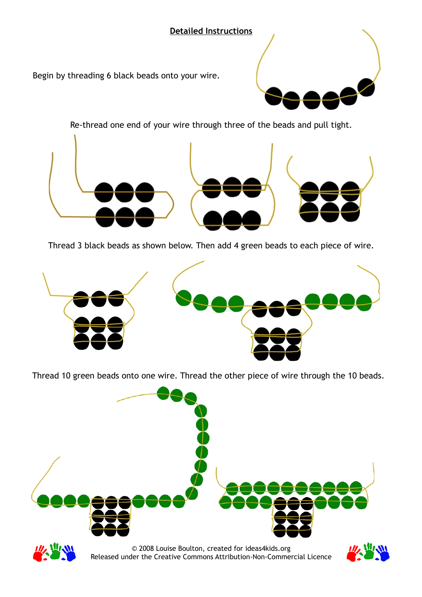## **Detailed Instructions**

Begin by threading 6 black beads onto your wire.



Re-thread one end of your wire through three of the beads and pull tight.



Thread 3 black beads as shown below. Then add 4 green beads to each piece of wire.



Thread 10 green beads onto one wire. Thread the other piece of wire through the 10 beads.



© 2008 Louise Boulton, created for ideas4kids.org Released under the Creative Commons Attribution-Non-Commercial Licence